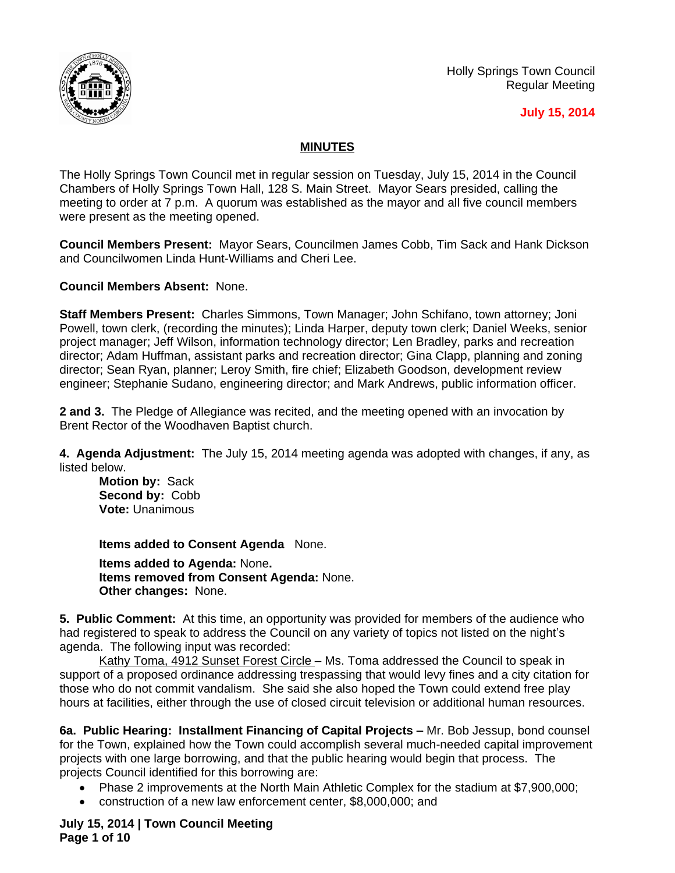

### **July 15, 2014**

## **MINUTES**

The Holly Springs Town Council met in regular session on Tuesday, July 15, 2014 in the Council Chambers of Holly Springs Town Hall, 128 S. Main Street. Mayor Sears presided, calling the meeting to order at 7 p.m. A quorum was established as the mayor and all five council members were present as the meeting opened.

**Council Members Present:** Mayor Sears, Councilmen James Cobb, Tim Sack and Hank Dickson and Councilwomen Linda Hunt-Williams and Cheri Lee.

**Council Members Absent:** None.

**Staff Members Present:** Charles Simmons, Town Manager; John Schifano, town attorney; Joni Powell, town clerk, (recording the minutes); Linda Harper, deputy town clerk; Daniel Weeks, senior project manager; Jeff Wilson, information technology director; Len Bradley, parks and recreation director; Adam Huffman, assistant parks and recreation director; Gina Clapp, planning and zoning director; Sean Ryan, planner; Leroy Smith, fire chief; Elizabeth Goodson, development review engineer; Stephanie Sudano, engineering director; and Mark Andrews, public information officer.

**2 and 3.** The Pledge of Allegiance was recited, and the meeting opened with an invocation by Brent Rector of the Woodhaven Baptist church.

**4. Agenda Adjustment:** The July 15, 2014 meeting agenda was adopted with changes, if any, as listed below.

**Motion by:** Sack **Second by:** Cobb **Vote:** Unanimous

**Items added to Consent Agenda** None.

**Items added to Agenda:** None**. Items removed from Consent Agenda:** None. **Other changes:** None.

**5. Public Comment:** At this time, an opportunity was provided for members of the audience who had registered to speak to address the Council on any variety of topics not listed on the night's agenda. The following input was recorded:

Kathy Toma, 4912 Sunset Forest Circle - Ms. Toma addressed the Council to speak in support of a proposed ordinance addressing trespassing that would levy fines and a city citation for those who do not commit vandalism. She said she also hoped the Town could extend free play hours at facilities, either through the use of closed circuit television or additional human resources.

**6a. Public Hearing: Installment Financing of Capital Projects –** Mr. Bob Jessup, bond counsel for the Town, explained how the Town could accomplish several much-needed capital improvement projects with one large borrowing, and that the public hearing would begin that process. The projects Council identified for this borrowing are:

- Phase 2 improvements at the North Main Athletic Complex for the stadium at \$7,900,000;
- construction of a new law enforcement center, \$8,000,000; and

**July 15, 2014 | Town Council Meeting Page 1 of 10**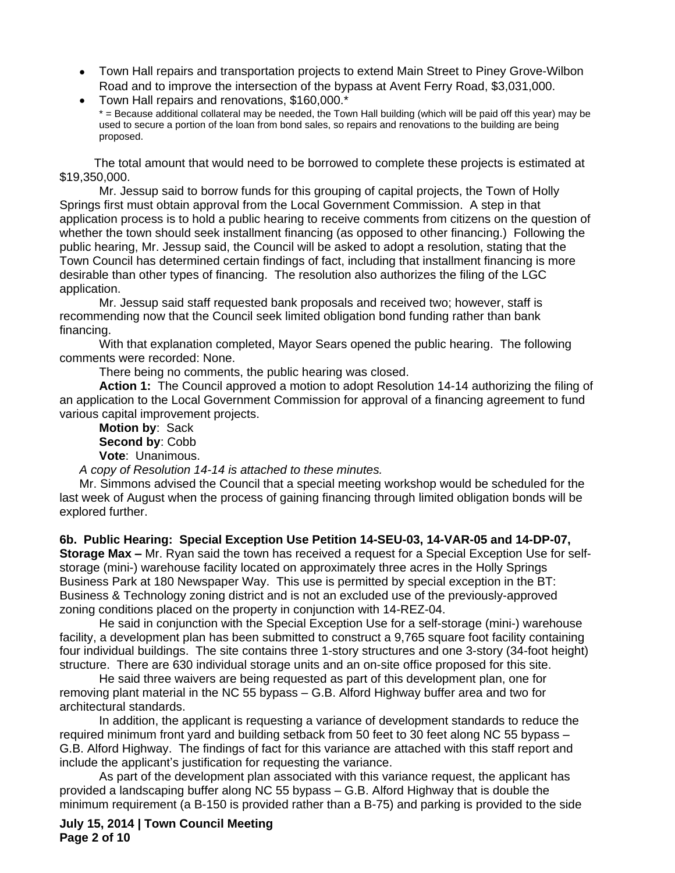- Town Hall repairs and transportation projects to extend Main Street to Piney Grove-Wilbon Road and to improve the intersection of the bypass at Avent Ferry Road, \$3,031,000.
- Town Hall repairs and renovations, \$160,000.\* \* = Because additional collateral may be needed, the Town Hall building (which will be paid off this year) may be used to secure a portion of the loan from bond sales, so repairs and renovations to the building are being proposed.

The total amount that would need to be borrowed to complete these projects is estimated at \$19,350,000.

Mr. Jessup said to borrow funds for this grouping of capital projects, the Town of Holly Springs first must obtain approval from the Local Government Commission. A step in that application process is to hold a public hearing to receive comments from citizens on the question of whether the town should seek installment financing (as opposed to other financing.) Following the public hearing, Mr. Jessup said, the Council will be asked to adopt a resolution, stating that the Town Council has determined certain findings of fact, including that installment financing is more desirable than other types of financing. The resolution also authorizes the filing of the LGC application.

Mr. Jessup said staff requested bank proposals and received two; however, staff is recommending now that the Council seek limited obligation bond funding rather than bank financing.

With that explanation completed, Mayor Sears opened the public hearing. The following comments were recorded: None.

There being no comments, the public hearing was closed.

**Action 1:** The Council approved a motion to adopt Resolution 14-14 authorizing the filing of an application to the Local Government Commission for approval of a financing agreement to fund various capital improvement projects.

**Motion by**: Sack **Second by**: Cobb **Vote**: Unanimous.

*A copy of Resolution 14-14 is attached to these minutes.*

Mr. Simmons advised the Council that a special meeting workshop would be scheduled for the last week of August when the process of gaining financing through limited obligation bonds will be explored further.

**6b. Public Hearing: Special Exception Use Petition 14-SEU-03, 14-VAR-05 and 14-DP-07, Storage Max –** Mr. Ryan said the town has received a request for a Special Exception Use for selfstorage (mini-) warehouse facility located on approximately three acres in the Holly Springs Business Park at 180 Newspaper Way. This use is permitted by special exception in the BT: Business & Technology zoning district and is not an excluded use of the previously-approved zoning conditions placed on the property in conjunction with 14-REZ-04.

He said in conjunction with the Special Exception Use for a self-storage (mini-) warehouse facility, a development plan has been submitted to construct a 9,765 square foot facility containing four individual buildings. The site contains three 1-story structures and one 3-story (34-foot height) structure. There are 630 individual storage units and an on-site office proposed for this site.

He said three waivers are being requested as part of this development plan, one for removing plant material in the NC 55 bypass – G.B. Alford Highway buffer area and two for architectural standards.

In addition, the applicant is requesting a variance of development standards to reduce the required minimum front yard and building setback from 50 feet to 30 feet along NC 55 bypass – G.B. Alford Highway. The findings of fact for this variance are attached with this staff report and include the applicant's justification for requesting the variance.

As part of the development plan associated with this variance request, the applicant has provided a landscaping buffer along NC 55 bypass – G.B. Alford Highway that is double the minimum requirement (a B-150 is provided rather than a B-75) and parking is provided to the side

**July 15, 2014 | Town Council Meeting Page 2 of 10**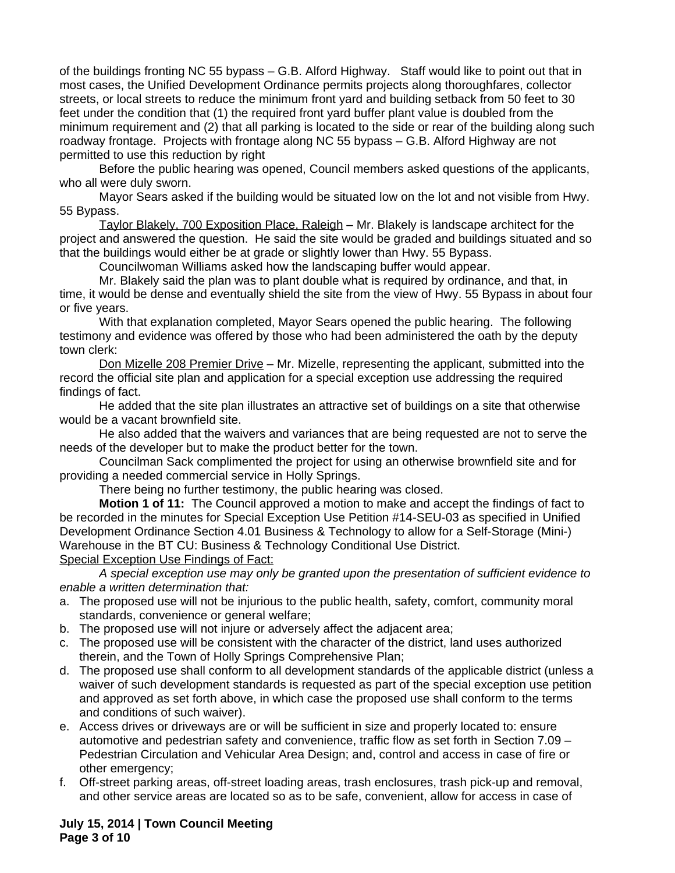of the buildings fronting NC 55 bypass – G.B. Alford Highway. Staff would like to point out that in most cases, the Unified Development Ordinance permits projects along thoroughfares, collector streets, or local streets to reduce the minimum front yard and building setback from 50 feet to 30 feet under the condition that (1) the required front yard buffer plant value is doubled from the minimum requirement and (2) that all parking is located to the side or rear of the building along such roadway frontage. Projects with frontage along NC 55 bypass – G.B. Alford Highway are not permitted to use this reduction by right

Before the public hearing was opened, Council members asked questions of the applicants, who all were duly sworn.

Mayor Sears asked if the building would be situated low on the lot and not visible from Hwy. 55 Bypass.

Taylor Blakely, 700 Exposition Place, Raleigh – Mr. Blakely is landscape architect for the project and answered the question. He said the site would be graded and buildings situated and so that the buildings would either be at grade or slightly lower than Hwy. 55 Bypass.

Councilwoman Williams asked how the landscaping buffer would appear.

Mr. Blakely said the plan was to plant double what is required by ordinance, and that, in time, it would be dense and eventually shield the site from the view of Hwy. 55 Bypass in about four or five years.

With that explanation completed, Mayor Sears opened the public hearing. The following testimony and evidence was offered by those who had been administered the oath by the deputy town clerk:

Don Mizelle 208 Premier Drive - Mr. Mizelle, representing the applicant, submitted into the record the official site plan and application for a special exception use addressing the required findings of fact.

He added that the site plan illustrates an attractive set of buildings on a site that otherwise would be a vacant brownfield site.

He also added that the waivers and variances that are being requested are not to serve the needs of the developer but to make the product better for the town.

Councilman Sack complimented the project for using an otherwise brownfield site and for providing a needed commercial service in Holly Springs.

There being no further testimony, the public hearing was closed.

**Motion 1 of 11:** The Council approved a motion to make and accept the findings of fact to be recorded in the minutes for Special Exception Use Petition #14-SEU-03 as specified in Unified Development Ordinance Section 4.01 Business & Technology to allow for a Self-Storage (Mini-) Warehouse in the BT CU: Business & Technology Conditional Use District. Special Exception Use Findings of Fact:

*A special exception use may only be granted upon the presentation of sufficient evidence to enable a written determination that:*

- a. The proposed use will not be injurious to the public health, safety, comfort, community moral standards, convenience or general welfare;
- b. The proposed use will not injure or adversely affect the adjacent area;
- c. The proposed use will be consistent with the character of the district, land uses authorized therein, and the Town of Holly Springs Comprehensive Plan;
- d. The proposed use shall conform to all development standards of the applicable district (unless a waiver of such development standards is requested as part of the special exception use petition and approved as set forth above, in which case the proposed use shall conform to the terms and conditions of such waiver).
- e. Access drives or driveways are or will be sufficient in size and properly located to: ensure automotive and pedestrian safety and convenience, traffic flow as set forth in Section 7.09 – Pedestrian Circulation and Vehicular Area Design; and, control and access in case of fire or other emergency;
- f. Off-street parking areas, off-street loading areas, trash enclosures, trash pick-up and removal, and other service areas are located so as to be safe, convenient, allow for access in case of

**July 15, 2014 | Town Council Meeting Page 3 of 10**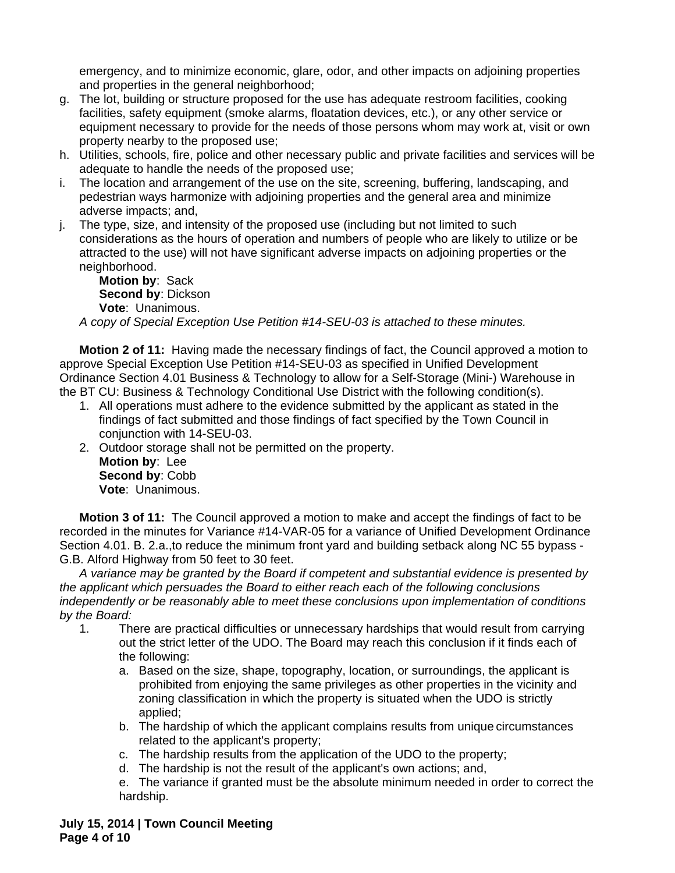emergency, and to minimize economic, glare, odor, and other impacts on adjoining properties and properties in the general neighborhood;

- g. The lot, building or structure proposed for the use has adequate restroom facilities, cooking facilities, safety equipment (smoke alarms, floatation devices, etc.), or any other service or equipment necessary to provide for the needs of those persons whom may work at, visit or own property nearby to the proposed use;
- h. Utilities, schools, fire, police and other necessary public and private facilities and services will be adequate to handle the needs of the proposed use;
- i. The location and arrangement of the use on the site, screening, buffering, landscaping, and pedestrian ways harmonize with adjoining properties and the general area and minimize adverse impacts; and,
- j. The type, size, and intensity of the proposed use (including but not limited to such considerations as the hours of operation and numbers of people who are likely to utilize or be attracted to the use) will not have significant adverse impacts on adjoining properties or the neighborhood.

**Motion by**: Sack **Second by**: Dickson **Vote**: Unanimous.

*A copy of Special Exception Use Petition #14-SEU-03 is attached to these minutes.*

**Motion 2 of 11:** Having made the necessary findings of fact, the Council approved a motion to approve Special Exception Use Petition #14-SEU-03 as specified in Unified Development Ordinance Section 4.01 Business & Technology to allow for a Self-Storage (Mini-) Warehouse in the BT CU: Business & Technology Conditional Use District with the following condition(s).

- 1. All operations must adhere to the evidence submitted by the applicant as stated in the findings of fact submitted and those findings of fact specified by the Town Council in conjunction with 14-SEU-03.
- 2. Outdoor storage shall not be permitted on the property. **Motion by**: Lee **Second by**: Cobb **Vote**: Unanimous.

**Motion 3 of 11:** The Council approved a motion to make and accept the findings of fact to be recorded in the minutes for Variance #14-VAR-05 for a variance of Unified Development Ordinance Section 4.01. B. 2.a., to reduce the minimum front yard and building setback along NC 55 bypass -G.B. Alford Highway from 50 feet to 30 feet.

*A variance may be granted by the Board if competent and substantial evidence is presented by the applicant which persuades the Board to either reach each of the following conclusions independently or be reasonably able to meet these conclusions upon implementation of conditions by the Board:*

- 1. There are practical difficulties or unnecessary hardships that would result from carrying out the strict letter of the UDO. The Board may reach this conclusion if it finds each of the following:
	- a. Based on the size, shape, topography, location, or surroundings, the applicant is prohibited from enjoying the same privileges as other properties in the vicinity and zoning classification in which the property is situated when the UDO is strictly applied;
	- b. The hardship of which the applicant complains results from unique circumstances related to the applicant's property;
	- c. The hardship results from the application of the UDO to the property;
	- d. The hardship is not the result of the applicant's own actions; and,
	- e. The variance if granted must be the absolute minimum needed in order to correct the hardship.

**July 15, 2014 | Town Council Meeting Page 4 of 10**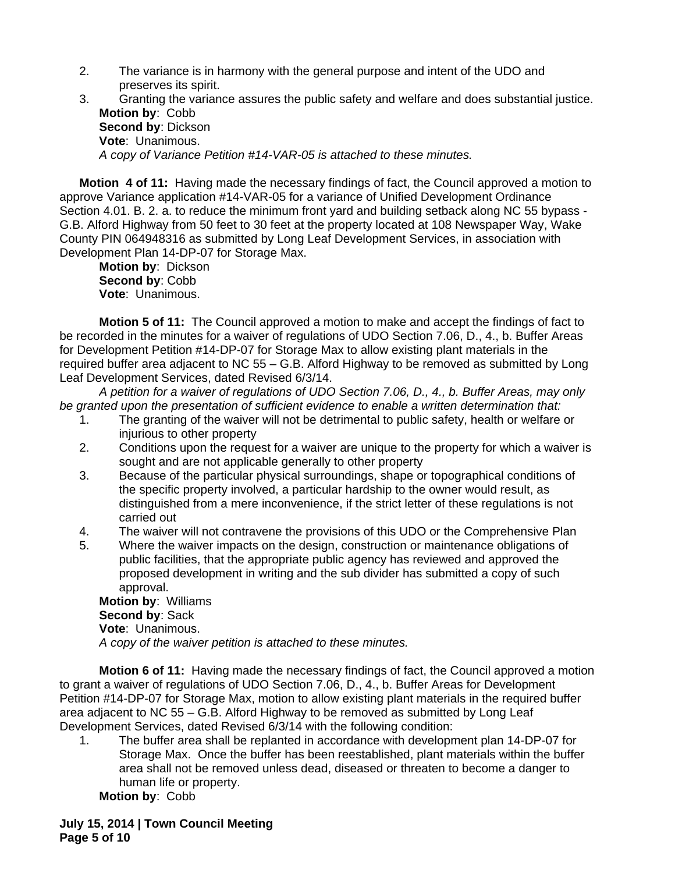2. The variance is in harmony with the general purpose and intent of the UDO and preserves its spirit.

| Granting the variance assures the public safety and welfare and does substantial justice. |
|-------------------------------------------------------------------------------------------|
| <b>Motion by: Cobb</b>                                                                    |
| <b>Second by: Dickson</b>                                                                 |
| <b>Vote: Unanimous.</b>                                                                   |
| A copy of Variance Petition #14-VAR-05 is attached to these minutes.                      |

**Motion 4 of 11:** Having made the necessary findings of fact, the Council approved a motion to approve Variance application #14-VAR-05 for a variance of Unified Development Ordinance Section 4.01. B. 2. a. to reduce the minimum front yard and building setback along NC 55 bypass - G.B. Alford Highway from 50 feet to 30 feet at the property located at 108 Newspaper Way, Wake County PIN 064948316 as submitted by Long Leaf Development Services, in association with Development Plan 14-DP-07 for Storage Max.

**Motion by**: Dickson **Second by**: Cobb **Vote**: Unanimous.

**Motion 5 of 11:** The Council approved a motion to make and accept the findings of fact to be recorded in the minutes for a waiver of regulations of UDO Section 7.06, D., 4., b. Buffer Areas for Development Petition #14-DP-07 for Storage Max to allow existing plant materials in the required buffer area adjacent to NC 55 – G.B. Alford Highway to be removed as submitted by Long Leaf Development Services, dated Revised 6/3/14.

*A petition for a waiver of regulations of UDO Section 7.06, D., 4., b. Buffer Areas, may only be granted upon the presentation of sufficient evidence to enable a written determination that:*

- 1. The granting of the waiver will not be detrimental to public safety, health or welfare or injurious to other property
- 2. Conditions upon the request for a waiver are unique to the property for which a waiver is sought and are not applicable generally to other property
- 3. Because of the particular physical surroundings, shape or topographical conditions of the specific property involved, a particular hardship to the owner would result, as distinguished from a mere inconvenience, if the strict letter of these regulations is not carried out
- 4. The waiver will not contravene the provisions of this UDO or the Comprehensive Plan
- 5. Where the waiver impacts on the design, construction or maintenance obligations of public facilities, that the appropriate public agency has reviewed and approved the proposed development in writing and the sub divider has submitted a copy of such approval.

**Motion by**: Williams **Second by**: Sack **Vote**: Unanimous. *A copy of the waiver petition is attached to these minutes.*

**Motion 6 of 11:** Having made the necessary findings of fact, the Council approved a motion to grant a waiver of regulations of UDO Section 7.06, D., 4., b. Buffer Areas for Development Petition #14-DP-07 for Storage Max, motion to allow existing plant materials in the required buffer area adjacent to NC  $55 - G.B.$  Alford Highway to be removed as submitted by Long Leaf Development Services, dated Revised 6/3/14 with the following condition:

1. The buffer area shall be replanted in accordance with development plan 14-DP-07 for Storage Max. Once the buffer has been reestablished, plant materials within the buffer area shall not be removed unless dead, diseased or threaten to become a danger to human life or property.

**Motion by**: Cobb

**July 15, 2014 | Town Council Meeting Page 5 of 10**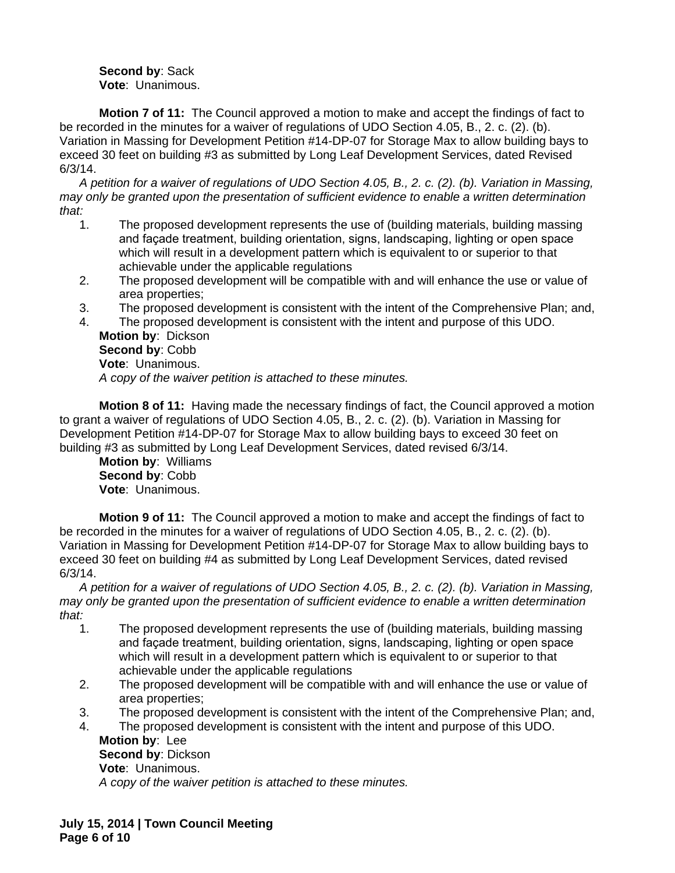**Second by**: Sack **Vote**: Unanimous.

**Motion 7 of 11:** The Council approved a motion to make and accept the findings of fact to be recorded in the minutes for a waiver of regulations of UDO Section 4.05, B., 2. c. (2). (b). Variation in Massing for Development Petition #14-DP-07 for Storage Max to allow building bays to exceed 30 feet on building #3 as submitted by Long Leaf Development Services, dated Revised 6/3/14.

*A petition for a waiver of regulations of UDO Section 4.05, B., 2. c. (2). (b). Variation in Massing, may only be granted upon the presentation of sufficient evidence to enable a written determination that:*

- 1. The proposed development represents the use of (building materials, building massing and façade treatment, building orientation, signs, landscaping, lighting or open space which will result in a development pattern which is equivalent to or superior to that achievable under the applicable regulations
- 2. The proposed development will be compatible with and will enhance the use or value of area properties;
- 3. The proposed development is consistent with the intent of the Comprehensive Plan; and,
- 4. The proposed development is consistent with the intent and purpose of this UDO. **Motion by**: Dickson **Second by**: Cobb **Vote**: Unanimous. *A copy of the waiver petition is attached to these minutes.*

**Motion 8 of 11:** Having made the necessary findings of fact, the Council approved a motion to grant a waiver of regulations of UDO Section 4.05, B., 2. c. (2). (b). Variation in Massing for Development Petition #14-DP-07 for Storage Max to allow building bays to exceed 30 feet on building #3 as submitted by Long Leaf Development Services, dated revised 6/3/14.

**Motion by**: Williams **Second by**: Cobb **Vote**: Unanimous.

**Motion 9 of 11:** The Council approved a motion to make and accept the findings of fact to be recorded in the minutes for a waiver of regulations of UDO Section 4.05, B., 2. c. (2). (b). Variation in Massing for Development Petition #14-DP-07 for Storage Max to allow building bays to exceed 30 feet on building #4 as submitted by Long Leaf Development Services, dated revised 6/3/14.

*A petition for a waiver of regulations of UDO Section 4.05, B., 2. c. (2). (b). Variation in Massing, may only be granted upon the presentation of sufficient evidence to enable a written determination that:*

- 1. The proposed development represents the use of (building materials, building massing and façade treatment, building orientation, signs, landscaping, lighting or open space which will result in a development pattern which is equivalent to or superior to that achievable under the applicable regulations
- 2. The proposed development will be compatible with and will enhance the use or value of area properties;
- 3. The proposed development is consistent with the intent of the Comprehensive Plan; and,
- 4. The proposed development is consistent with the intent and purpose of this UDO. **Motion by**: Lee **Second by**: Dickson **Vote**: Unanimous.

*A copy of the waiver petition is attached to these minutes.*

**July 15, 2014 | Town Council Meeting Page 6 of 10**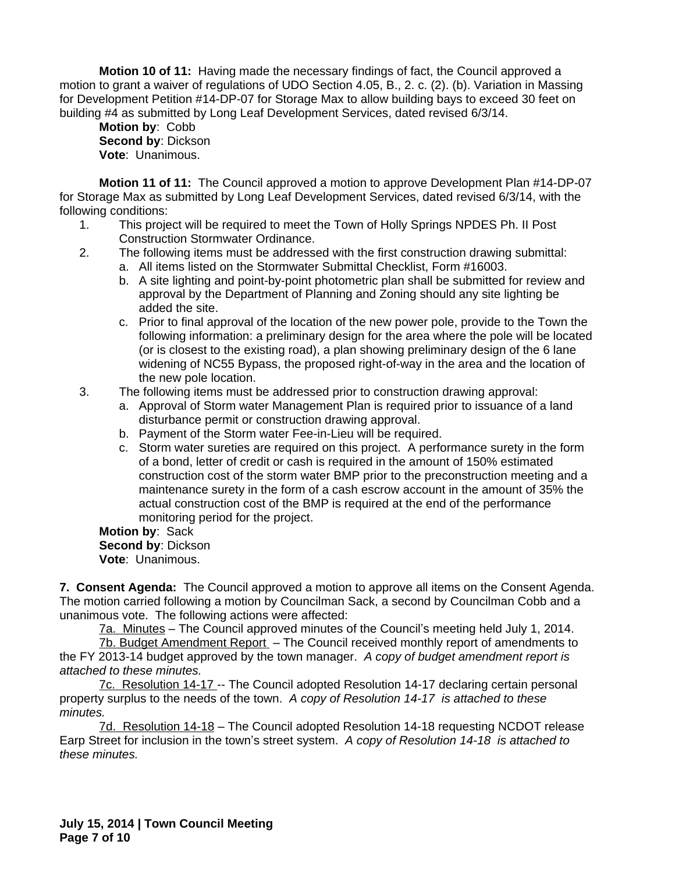**Motion 10 of 11:** Having made the necessary findings of fact, the Council approved a motion to grant a waiver of regulations of UDO Section 4.05, B., 2. c. (2). (b). Variation in Massing for Development Petition #14-DP-07 for Storage Max to allow building bays to exceed 30 feet on building #4 as submitted by Long Leaf Development Services, dated revised 6/3/14.

**Motion by**: Cobb **Second by**: Dickson **Vote**: Unanimous.

**Motion 11 of 11:** The Council approved a motion to approve Development Plan #14-DP-07 for Storage Max as submitted by Long Leaf Development Services, dated revised 6/3/14, with the following conditions:

- 1. This project will be required to meet the Town of Holly Springs NPDES Ph. II Post Construction Stormwater Ordinance.
- 2. The following items must be addressed with the first construction drawing submittal: a. All items listed on the Stormwater Submittal Checklist, Form #16003.
	- b. A site lighting and point-by-point photometric plan shall be submitted for review and approval by the Department of Planning and Zoning should any site lighting be added the site.
	- c. Prior to final approval of the location of the new power pole, provide to the Town the following information: a preliminary design for the area where the pole will be located (or is closest to the existing road), a plan showing preliminary design of the 6 lane widening of NC55 Bypass, the proposed right-of-way in the area and the location of the new pole location.
- 3. The following items must be addressed prior to construction drawing approval:
	- a. Approval of Storm water Management Plan is required prior to issuance of a land disturbance permit or construction drawing approval.
	- b. Payment of the Storm water Fee-in-Lieu will be required.
	- c. Storm water sureties are required on this project. A performance surety in the form of a bond, letter of credit or cash is required in the amount of 150% estimated construction cost of the storm water BMP prior to the preconstruction meeting and a maintenance surety in the form of a cash escrow account in the amount of 35% the actual construction cost of the BMP is required at the end of the performance monitoring period for the project.

**Motion by**: Sack **Second by**: Dickson **Vote**: Unanimous.

**7. Consent Agenda:** The Council approved a motion to approve all items on the Consent Agenda. The motion carried following a motion by Councilman Sack, a second by Councilman Cobb and a unanimous vote. The following actions were affected:

7a. Minutes – The Council approved minutes of the Council's meeting held July 1, 2014.

7b. Budget Amendment Report – The Council received monthly report of amendments to the FY 2013-14 budget approved by the town manager. *A copy of budget amendment report is attached to these minutes.*

7c. Resolution 14-17 -- The Council adopted Resolution 14-17 declaring certain personal property surplus to the needs of the town. *A copy of Resolution 14-17 is attached to these minutes.*

7d. Resolution 14-18 – The Council adopted Resolution 14-18 requesting NCDOT release Earp Street for inclusion in the town's street system. *A copy of Resolution 14-18 is attached to these minutes.*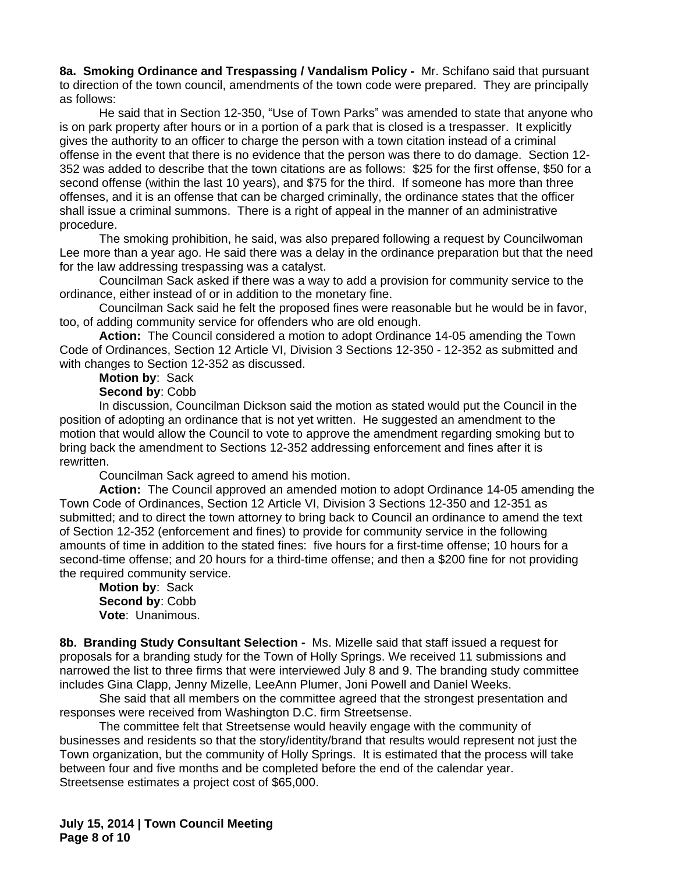**8a. Smoking Ordinance and Trespassing / Vandalism Policy -** Mr. Schifano said that pursuant to direction of the town council, amendments of the town code were prepared. They are principally as follows:

He said that in Section 12-350, "Use of Town Parks" was amended to state that anyone who is on park property after hours or in a portion of a park that is closed is a trespasser. It explicitly gives the authority to an officer to charge the person with a town citation instead of a criminal offense in the event that there is no evidence that the person was there to do damage. Section 12- 352 was added to describe that the town citations are as follows: \$25 for the first offense, \$50 for a second offense (within the last 10 years), and \$75 for the third. If someone has more than three offenses, and it is an offense that can be charged criminally, the ordinance states that the officer shall issue a criminal summons. There is a right of appeal in the manner of an administrative procedure.

The smoking prohibition, he said, was also prepared following a request by Councilwoman Lee more than a year ago. He said there was a delay in the ordinance preparation but that the need for the law addressing trespassing was a catalyst.

Councilman Sack asked if there was a way to add a provision for community service to the ordinance, either instead of or in addition to the monetary fine.

Councilman Sack said he felt the proposed fines were reasonable but he would be in favor, too, of adding community service for offenders who are old enough.

**Action:** The Council considered a motion to adopt Ordinance 14-05 amending the Town Code of Ordinances, Section 12 Article VI, Division 3 Sections 12-350 - 12-352 as submitted and with changes to Section 12-352 as discussed.

# **Motion by**: Sack

## **Second by**: Cobb

In discussion, Councilman Dickson said the motion as stated would put the Council in the position of adopting an ordinance that is not yet written. He suggested an amendment to the motion that would allow the Council to vote to approve the amendment regarding smoking but to bring back the amendment to Sections 12-352 addressing enforcement and fines after it is rewritten.

Councilman Sack agreed to amend his motion.

**Action:** The Council approved an amended motion to adopt Ordinance 14-05 amending the Town Code of Ordinances, Section 12 Article VI, Division 3 Sections 12-350 and 12-351 as submitted; and to direct the town attorney to bring back to Council an ordinance to amend the text of Section 12-352 (enforcement and fines) to provide for community service in the following amounts of time in addition to the stated fines: five hours for a first-time offense; 10 hours for a second-time offense; and 20 hours for a third-time offense; and then a \$200 fine for not providing the required community service.

**Motion by**: Sack **Second by**: Cobb **Vote**: Unanimous.

**8b. Branding Study Consultant Selection -** Ms. Mizelle said that staff issued a request for proposals for a branding study for the Town of Holly Springs. We received 11 submissions and narrowed the list to three firms that were interviewed July 8 and 9. The branding study committee includes Gina Clapp, Jenny Mizelle, LeeAnn Plumer, Joni Powell and Daniel Weeks.

She said that all members on the committee agreed that the strongest presentation and responses were received from Washington D.C. firm Streetsense.

The committee felt that Streetsense would heavily engage with the community of businesses and residents so that the story/identity/brand that results would represent not just the Town organization, but the community of Holly Springs. It is estimated that the process will take between four and five months and be completed before the end of the calendar year. Streetsense estimates a project cost of \$65,000.

**July 15, 2014 | Town Council Meeting Page 8 of 10**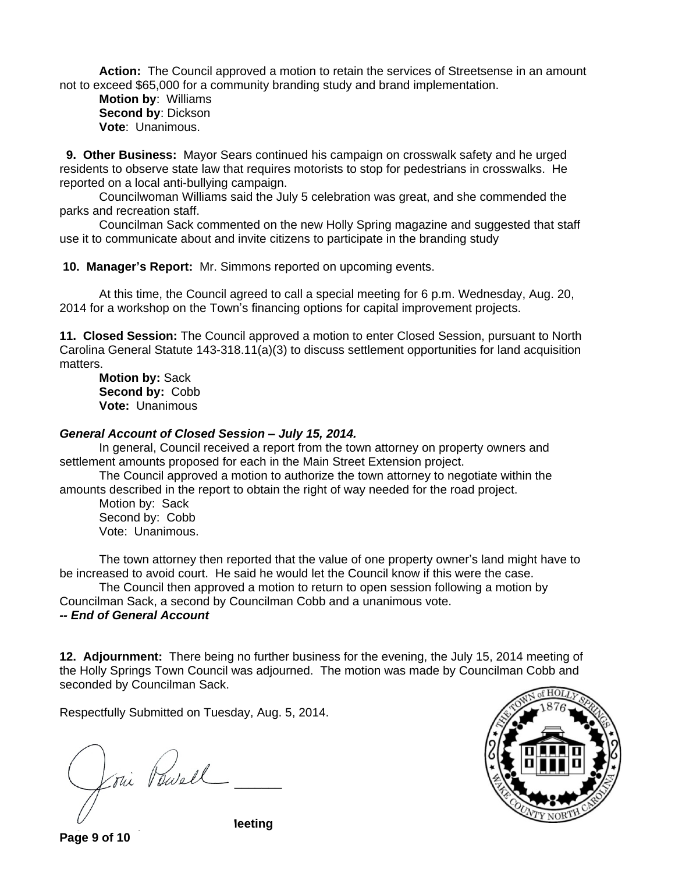**Action:** The Council approved a motion to retain the services of Streetsense in an amount not to exceed \$65,000 for a community branding study and brand implementation.

**Motion by**: Williams **Second by**: Dickson **Vote**: Unanimous.

 **9. Other Business:** Mayor Sears continued his campaign on crosswalk safety and he urged residents to observe state law that requires motorists to stop for pedestrians in crosswalks. He reported on a local anti-bullying campaign.

Councilwoman Williams said the July 5 celebration was great, and she commended the parks and recreation staff.

Councilman Sack commented on the new Holly Spring magazine and suggested that staff use it to communicate about and invite citizens to participate in the branding study

**10. Manager's Report:** Mr. Simmons reported on upcoming events.

At this time, the Council agreed to call a special meeting for 6 p.m. Wednesday, Aug. 20, 2014 for a workshop on the Town's financing options for capital improvement projects.

**11. Closed Session:** The Council approved a motion to enter Closed Session, pursuant to North Carolina General Statute 143-318.11(a)(3) to discuss settlement opportunities for land acquisition matters.

**Motion by:** Sack **Second by:** Cobb **Vote:** Unanimous

#### *General Account of Closed Session – July 15, 2014.*

In general, Council received a report from the town attorney on property owners and settlement amounts proposed for each in the Main Street Extension project.

The Council approved a motion to authorize the town attorney to negotiate within the amounts described in the report to obtain the right of way needed for the road project.

Motion by: Sack Second by: Cobb Vote: Unanimous.

The town attorney then reported that the value of one property owner's land might have to be increased to avoid court. He said he would let the Council know if this were the case.

The Council then approved a motion to return to open session following a motion by Councilman Sack, a second by Councilman Cobb and a unanimous vote. *-- End of General Account*

**12. Adjournment:** There being no further business for the evening, the July 15, 2014 meeting of the Holly Springs Town Council was adjourned. The motion was made by Councilman Cobb and seconded by Councilman Sack.

Respectfully Submitted on Tuesday, Aug. 5, 2014.

 $\chi_{\text{flux}}$  value  $\sqrt{ }$ 



**Page 9 of 10**

**leeting**